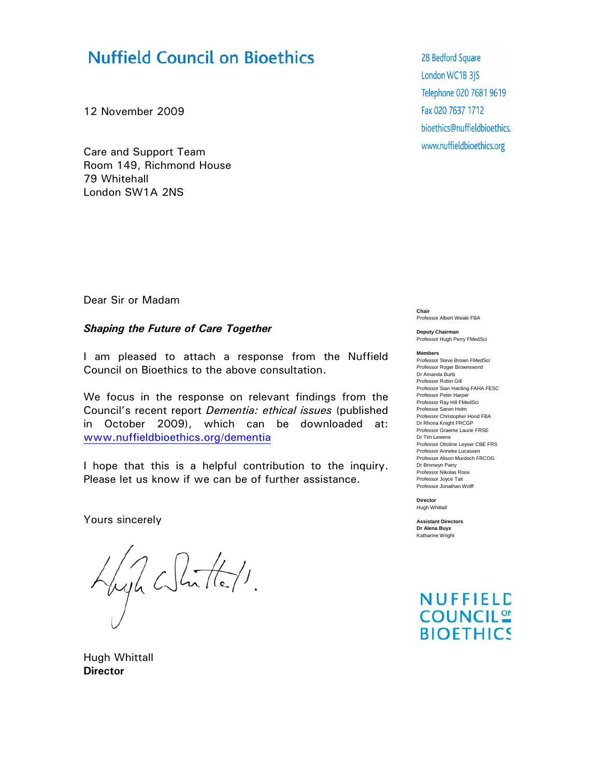# **Nuffield Council on Bioethics**

12 November 2009

Care and Support Team Room 149, Richmond House 79 Whitehall London SW1A 2NS

Dear Sir or Madam

#### *Shaping the Future of Care Together*

I am pleased to attach a response from the Nuffield Council on Bioethics to the above consultation.

We focus in the response on relevant findings from the Council's recent report *Dementia: ethical issues* (published in October 2009), which can be downloaded at: www.nuffieldbioethics.org/dementia

I hope that this is a helpful contribution to the inquiry. Please let us know if we can be of further assistance.

Yours sincerely

Hugh White/1.

Hugh Whittall **Director** 

28 Bedford Square London WC1B 3JS Telephone 020 7681 9619 Fax 020 7637 1712 bioethics@nuffieldbioethics. www.nuffieldbioethics.org

**Chair**  Professor Albert Weale FBA

**Deputy Chairman**  Professor Hugh Perry FMedSci

#### **Members**

Professor Steve Brown FMedSci Professor Roger Brownsword Dr Amanda Burls Professor Robin Gill Professor Sian Harding FAHA FESC Professor Peter Harper Professor Ray Hill FMedSci Professor Søren Holm Professor Christopher Hood FBA Dr Rhona Knight FRCGP Professor Graeme Laurie FRSE Dr Tim Lewens Professor Ottoline Leyser CBE FRS Professor Anneke Lucassen Professor Alison Murdoch FRCOG Dr Bronwyn Parry Professor Nikolas Rose Professor Joyce Tait Professor Jonathan Wolff

**Director**  Hugh Whittall

**Assistant Directors Dr Alena Buyx**  Katharine Wright

## **NUFFIELD COUNCIL<sup>ON</sup> BIOETHICS**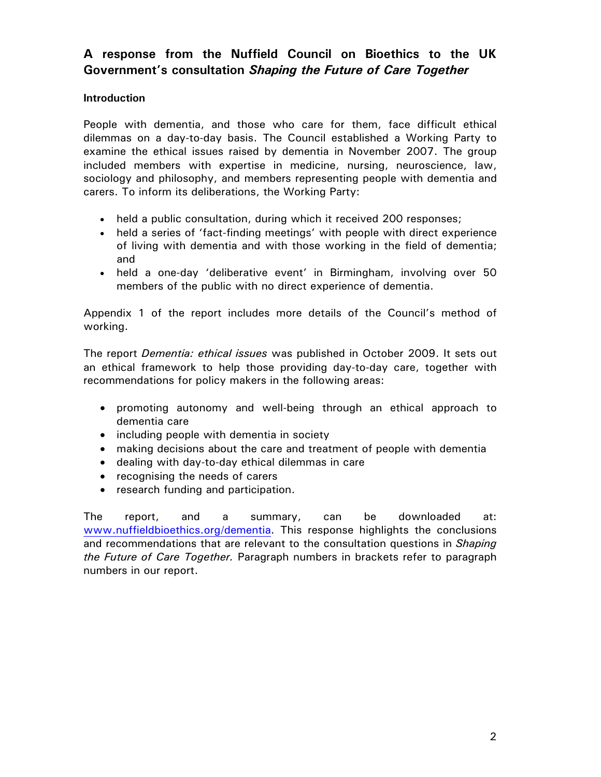### **A response from the Nuffield Council on Bioethics to the UK Government's consultation** *Shaping the Future of Care Together*

### **Introduction**

People with dementia, and those who care for them, face difficult ethical dilemmas on a day-to-day basis. The Council established a Working Party to examine the ethical issues raised by dementia in November 2007. The group included members with expertise in medicine, nursing, neuroscience, law, sociology and philosophy, and members representing people with dementia and carers. To inform its deliberations, the Working Party:

- held a public consultation, during which it received 200 responses;
- held a series of 'fact-finding meetings' with people with direct experience of living with dementia and with those working in the field of dementia; and
- held a one-day 'deliberative event' in Birmingham, involving over 50 members of the public with no direct experience of dementia.

Appendix 1 of the report includes more details of the Council's method of working.

The report *Dementia: ethical issues* was published in October 2009. It sets out an ethical framework to help those providing day-to-day care, together with recommendations for policy makers in the following areas:

- promoting autonomy and well-being through an ethical approach to dementia care
- including people with dementia in society
- making decisions about the care and treatment of people with dementia
- dealing with day-to-day ethical dilemmas in care
- recognising the needs of carers
- research funding and participation.

The report, and a summary, can be downloaded at: www.nuffieldbioethics.org/dementia. This response highlights the conclusions and recommendations that are relevant to the consultation questions in *Shaping the Future of Care Together.* Paragraph numbers in brackets refer to paragraph numbers in our report.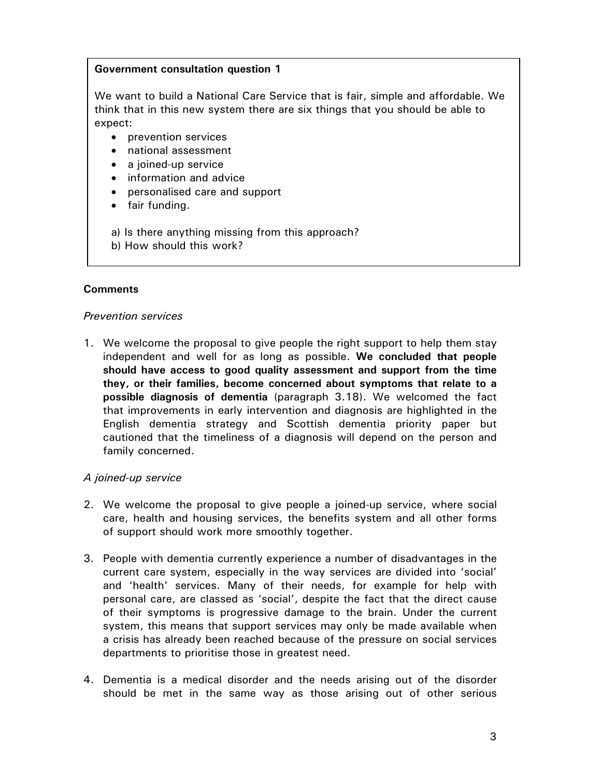#### **Government consultation question 1**

We want to build a National Care Service that is fair, simple and affordable. We think that in this new system there are six things that you should be able to expect:

- prevention services
- national assessment
- a joined-up service
- information and advice
- personalised care and support
- fair funding.
- a) Is there anything missing from this approach?
- b) How should this work?

#### **Comments**

#### *Prevention services*

1. We welcome the proposal to give people the right support to help them stay independent and well for as long as possible. **We concluded that people should have access to good quality assessment and support from the time they, or their families, become concerned about symptoms that relate to a possible diagnosis of dementia** (paragraph 3.18). We welcomed the fact that improvements in early intervention and diagnosis are highlighted in the English dementia strategy and Scottish dementia priority paper but cautioned that the timeliness of a diagnosis will depend on the person and family concerned.

#### *A joined-up service*

- 2. We welcome the proposal to give people a joined-up service, where social care, health and housing services, the benefits system and all other forms of support should work more smoothly together.
- 3. People with dementia currently experience a number of disadvantages in the current care system, especially in the way services are divided into 'social' and 'health' services. Many of their needs, for example for help with personal care, are classed as 'social', despite the fact that the direct cause of their symptoms is progressive damage to the brain. Under the current system, this means that support services may only be made available when a crisis has already been reached because of the pressure on social services departments to prioritise those in greatest need.
- 4. Dementia is a medical disorder and the needs arising out of the disorder should be met in the same way as those arising out of other serious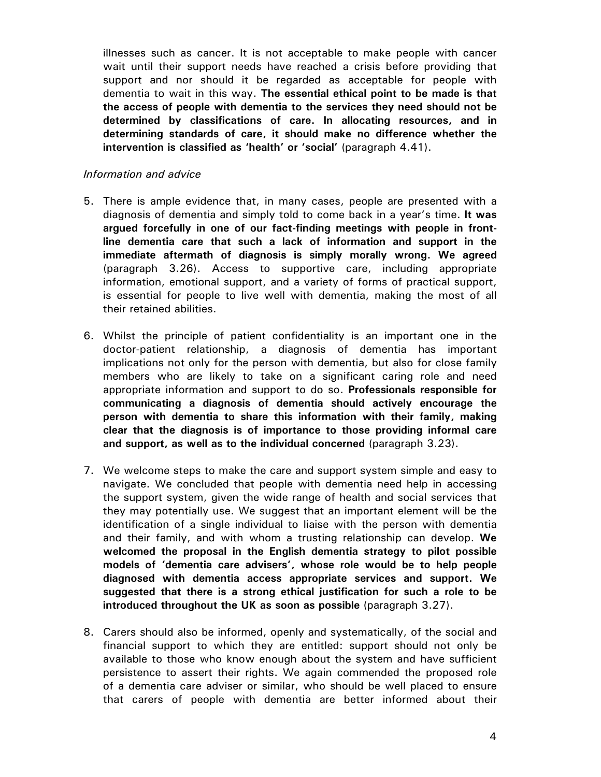illnesses such as cancer. It is not acceptable to make people with cancer wait until their support needs have reached a crisis before providing that support and nor should it be regarded as acceptable for people with dementia to wait in this way. **The essential ethical point to be made is that the access of people with dementia to the services they need should not be determined by classifications of care. In allocating resources, and in determining standards of care, it should make no difference whether the intervention is classified as 'health' or 'social'** (paragraph 4.41).

#### *Information and advice*

- 5. There is ample evidence that, in many cases, people are presented with a diagnosis of dementia and simply told to come back in a year's time. **It was argued forcefully in one of our fact-finding meetings with people in frontline dementia care that such a lack of information and support in the immediate aftermath of diagnosis is simply morally wrong. We agreed**  (paragraph 3.26). Access to supportive care, including appropriate information, emotional support, and a variety of forms of practical support, is essential for people to live well with dementia, making the most of all their retained abilities.
- 6. Whilst the principle of patient confidentiality is an important one in the doctor-patient relationship, a diagnosis of dementia has important implications not only for the person with dementia, but also for close family members who are likely to take on a significant caring role and need appropriate information and support to do so. **Professionals responsible for communicating a diagnosis of dementia should actively encourage the person with dementia to share this information with their family, making clear that the diagnosis is of importance to those providing informal care and support, as well as to the individual concerned** (paragraph 3.23).
- 7. We welcome steps to make the care and support system simple and easy to navigate. We concluded that people with dementia need help in accessing the support system, given the wide range of health and social services that they may potentially use. We suggest that an important element will be the identification of a single individual to liaise with the person with dementia and their family, and with whom a trusting relationship can develop. **We welcomed the proposal in the English dementia strategy to pilot possible models of 'dementia care advisers', whose role would be to help people diagnosed with dementia access appropriate services and support. We suggested that there is a strong ethical justification for such a role to be introduced throughout the UK as soon as possible** (paragraph 3.27).
- 8. Carers should also be informed, openly and systematically, of the social and financial support to which they are entitled: support should not only be available to those who know enough about the system and have sufficient persistence to assert their rights. We again commended the proposed role of a dementia care adviser or similar, who should be well placed to ensure that carers of people with dementia are better informed about their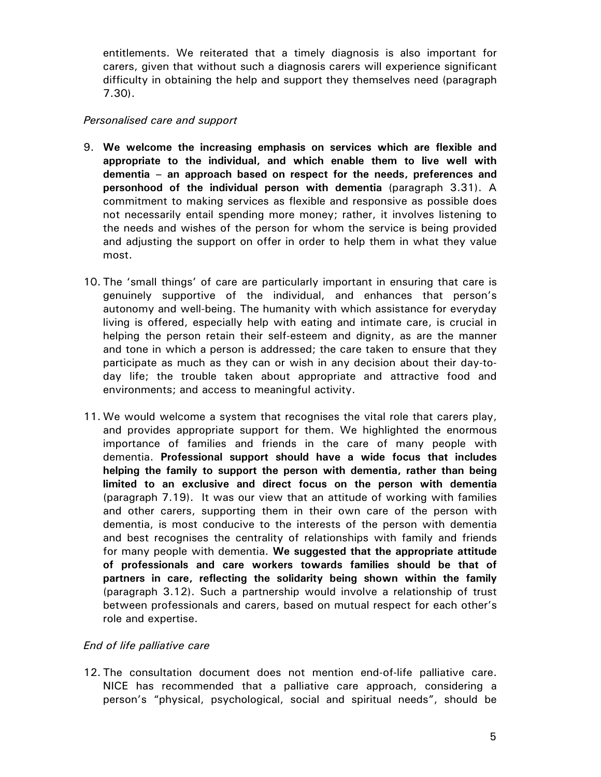entitlements. We reiterated that a timely diagnosis is also important for carers, given that without such a diagnosis carers will experience significant difficulty in obtaining the help and support they themselves need (paragraph 7.30).

#### *Personalised care and support*

- 9. **We welcome the increasing emphasis on services which are flexible and appropriate to the individual, and which enable them to live well with dementia – an approach based on respect for the needs, preferences and personhood of the individual person with dementia** (paragraph 3.31). A commitment to making services as flexible and responsive as possible does not necessarily entail spending more money; rather, it involves listening to the needs and wishes of the person for whom the service is being provided and adjusting the support on offer in order to help them in what they value most.
- 10. The 'small things' of care are particularly important in ensuring that care is genuinely supportive of the individual, and enhances that person's autonomy and well-being. The humanity with which assistance for everyday living is offered, especially help with eating and intimate care, is crucial in helping the person retain their self-esteem and dignity, as are the manner and tone in which a person is addressed; the care taken to ensure that they participate as much as they can or wish in any decision about their day-today life; the trouble taken about appropriate and attractive food and environments; and access to meaningful activity.
- 11. We would welcome a system that recognises the vital role that carers play, and provides appropriate support for them. We highlighted the enormous importance of families and friends in the care of many people with dementia. **Professional support should have a wide focus that includes helping the family to support the person with dementia, rather than being limited to an exclusive and direct focus on the person with dementia**  (paragraph 7.19). It was our view that an attitude of working with families and other carers, supporting them in their own care of the person with dementia, is most conducive to the interests of the person with dementia and best recognises the centrality of relationships with family and friends for many people with dementia. **We suggested that the appropriate attitude of professionals and care workers towards families should be that of partners in care, reflecting the solidarity being shown within the family**  (paragraph 3.12). Such a partnership would involve a relationship of trust between professionals and carers, based on mutual respect for each other's role and expertise.

#### *End of life palliative care*

12. The consultation document does not mention end-of-life palliative care. NICE has recommended that a palliative care approach, considering a person's "physical, psychological, social and spiritual needs", should be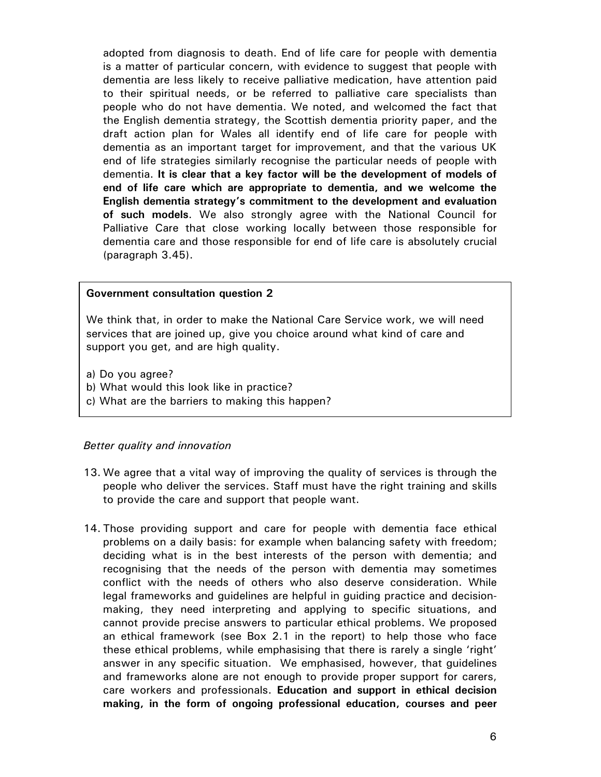adopted from diagnosis to death. End of life care for people with dementia is a matter of particular concern, with evidence to suggest that people with dementia are less likely to receive palliative medication, have attention paid to their spiritual needs, or be referred to palliative care specialists than people who do not have dementia. We noted, and welcomed the fact that the English dementia strategy, the Scottish dementia priority paper, and the draft action plan for Wales all identify end of life care for people with dementia as an important target for improvement, and that the various UK end of life strategies similarly recognise the particular needs of people with dementia. **It is clear that a key factor will be the development of models of end of life care which are appropriate to dementia, and we welcome the English dementia strategy's commitment to the development and evaluation of such models**. We also strongly agree with the National Council for Palliative Care that close working locally between those responsible for dementia care and those responsible for end of life care is absolutely crucial (paragraph 3.45).

#### **Government consultation question 2**

We think that, in order to make the National Care Service work, we will need services that are joined up, give you choice around what kind of care and support you get, and are high quality.

- a) Do you agree?
- b) What would this look like in practice?
- c) What are the barriers to making this happen?

#### *Better quality and innovation*

- 13. We agree that a vital way of improving the quality of services is through the people who deliver the services. Staff must have the right training and skills to provide the care and support that people want.
- 14. Those providing support and care for people with dementia face ethical problems on a daily basis: for example when balancing safety with freedom; deciding what is in the best interests of the person with dementia; and recognising that the needs of the person with dementia may sometimes conflict with the needs of others who also deserve consideration. While legal frameworks and guidelines are helpful in guiding practice and decisionmaking, they need interpreting and applying to specific situations, and cannot provide precise answers to particular ethical problems. We proposed an ethical framework (see Box 2.1 in the report) to help those who face these ethical problems, while emphasising that there is rarely a single 'right' answer in any specific situation. We emphasised, however, that guidelines and frameworks alone are not enough to provide proper support for carers, care workers and professionals. **Education and support in ethical decision making, in the form of ongoing professional education, courses and peer**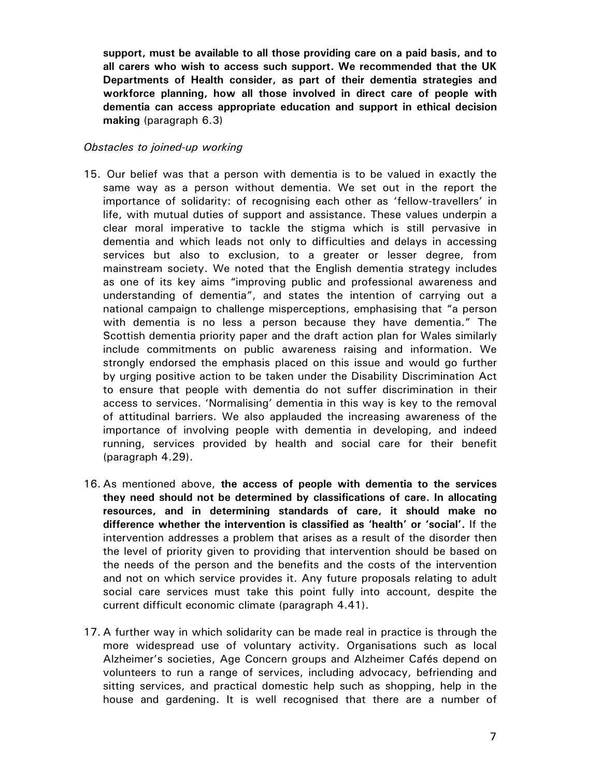**support, must be available to all those providing care on a paid basis, and to all carers who wish to access such support. We recommended that the UK Departments of Health consider, as part of their dementia strategies and workforce planning, how all those involved in direct care of people with dementia can access appropriate education and support in ethical decision making** (paragraph 6.3)

#### *Obstacles to joined-up working*

- 15. Our belief was that a person with dementia is to be valued in exactly the same way as a person without dementia. We set out in the report the importance of solidarity: of recognising each other as 'fellow-travellers' in life, with mutual duties of support and assistance. These values underpin a clear moral imperative to tackle the stigma which is still pervasive in dementia and which leads not only to difficulties and delays in accessing services but also to exclusion, to a greater or lesser degree, from mainstream society. We noted that the English dementia strategy includes as one of its key aims "improving public and professional awareness and understanding of dementia", and states the intention of carrying out a national campaign to challenge misperceptions, emphasising that "a person with dementia is no less a person because they have dementia." The Scottish dementia priority paper and the draft action plan for Wales similarly include commitments on public awareness raising and information. We strongly endorsed the emphasis placed on this issue and would go further by urging positive action to be taken under the Disability Discrimination Act to ensure that people with dementia do not suffer discrimination in their access to services. 'Normalising' dementia in this way is key to the removal of attitudinal barriers. We also applauded the increasing awareness of the importance of involving people with dementia in developing, and indeed running, services provided by health and social care for their benefit (paragraph 4.29).
- 16. As mentioned above, **the access of people with dementia to the services they need should not be determined by classifications of care. In allocating resources, and in determining standards of care, it should make no difference whether the intervention is classified as 'health' or 'social'.** If the intervention addresses a problem that arises as a result of the disorder then the level of priority given to providing that intervention should be based on the needs of the person and the benefits and the costs of the intervention and not on which service provides it. Any future proposals relating to adult social care services must take this point fully into account, despite the current difficult economic climate (paragraph 4.41).
- 17. A further way in which solidarity can be made real in practice is through the more widespread use of voluntary activity. Organisations such as local Alzheimer's societies, Age Concern groups and Alzheimer Cafés depend on volunteers to run a range of services, including advocacy, befriending and sitting services, and practical domestic help such as shopping, help in the house and gardening. It is well recognised that there are a number of